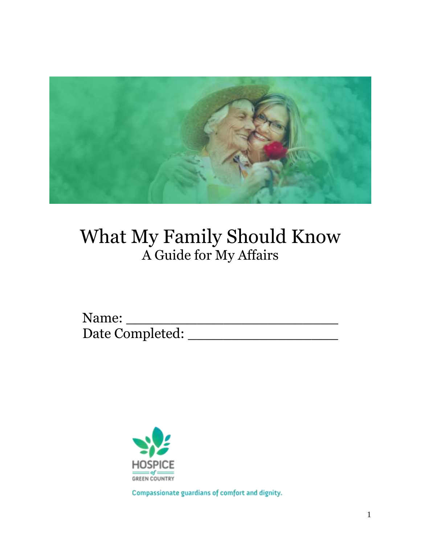

# What My Family Should Know A Guide for My Affairs

Name: \_\_\_\_\_\_\_\_\_\_\_\_\_\_\_\_\_\_\_\_\_\_\_\_ Date Completed: \_\_\_\_\_\_\_\_\_\_\_\_\_\_\_\_\_



Compassionate guardians of comfort and dignity.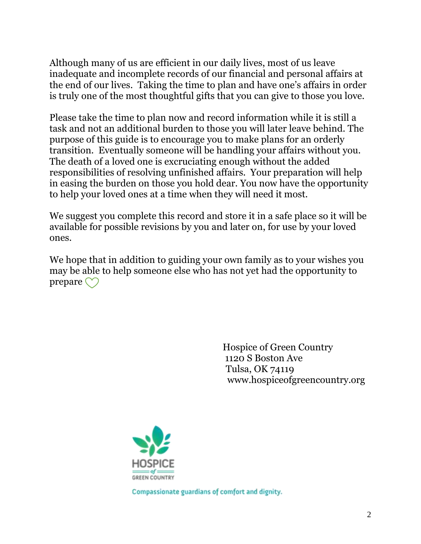Although many of us are efficient in our daily lives, most of us leave inadequate and incomplete records of our financial and personal affairs at the end of our lives. Taking the time to plan and have one's affairs in order is truly one of the most thoughtful gifts that you can give to those you love.

Please take the time to plan now and record information while it is still a task and not an additional burden to those you will later leave behind. The purpose of this guide is to encourage you to make plans for an orderly transition. Eventually someone will be handling your affairs without you. The death of a loved one is excruciating enough without the added responsibilities of resolving unfinished affairs. Your preparation will help in easing the burden on those you hold dear. You now have the opportunity to help your loved ones at a time when they will need it most.

We suggest you complete this record and store it in a safe place so it will be available for possible revisions by you and later on, for use by your loved ones.

We hope that in addition to guiding your own family as to your wishes you may be able to help someone else who has not yet had the opportunity to prepare  $\bigcirc$ 

> Hospice of Green Country 1120 S Boston Ave Tulsa, OK 74119 www.hospiceofgreencountry.org



Compassionate guardians of comfort and dignity.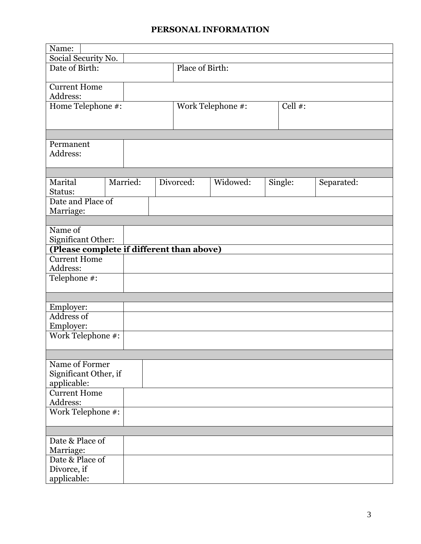#### **PERSONAL INFORMATION**

| Name:                                     |                     |           |                   |  |            |            |  |  |
|-------------------------------------------|---------------------|-----------|-------------------|--|------------|------------|--|--|
|                                           | Social Security No. |           |                   |  |            |            |  |  |
| Date of Birth:                            |                     |           | Place of Birth:   |  |            |            |  |  |
|                                           |                     |           |                   |  |            |            |  |  |
| <b>Current Home</b>                       |                     |           |                   |  |            |            |  |  |
| Address:                                  |                     |           |                   |  |            |            |  |  |
| Home Telephone #:                         |                     |           | Work Telephone #: |  | Cell $#$ : |            |  |  |
|                                           |                     |           |                   |  |            |            |  |  |
|                                           |                     |           |                   |  |            |            |  |  |
|                                           |                     |           |                   |  |            |            |  |  |
| Permanent                                 |                     |           |                   |  |            |            |  |  |
| Address:                                  |                     |           |                   |  |            |            |  |  |
|                                           |                     |           |                   |  |            |            |  |  |
|                                           |                     |           |                   |  |            |            |  |  |
| Marital                                   | Married:            | Divorced: | Widowed:          |  | Single:    | Separated: |  |  |
| Status:                                   |                     |           |                   |  |            |            |  |  |
| Date and Place of                         |                     |           |                   |  |            |            |  |  |
| Marriage:                                 |                     |           |                   |  |            |            |  |  |
|                                           |                     |           |                   |  |            |            |  |  |
| Name of                                   |                     |           |                   |  |            |            |  |  |
| Significant Other:                        |                     |           |                   |  |            |            |  |  |
| (Please complete if different than above) |                     |           |                   |  |            |            |  |  |
| <b>Current Home</b>                       |                     |           |                   |  |            |            |  |  |
| Address:                                  |                     |           |                   |  |            |            |  |  |
| Telephone #:                              |                     |           |                   |  |            |            |  |  |
|                                           |                     |           |                   |  |            |            |  |  |
|                                           |                     |           |                   |  |            |            |  |  |
| Employer:<br>Address of                   |                     |           |                   |  |            |            |  |  |
| Employer:                                 |                     |           |                   |  |            |            |  |  |
| Work Telephone #:                         |                     |           |                   |  |            |            |  |  |
|                                           |                     |           |                   |  |            |            |  |  |
|                                           |                     |           |                   |  |            |            |  |  |
| Name of Former                            |                     |           |                   |  |            |            |  |  |
| Significant Other, if                     |                     |           |                   |  |            |            |  |  |
| applicable:                               |                     |           |                   |  |            |            |  |  |
| <b>Current Home</b>                       |                     |           |                   |  |            |            |  |  |
| Address:                                  |                     |           |                   |  |            |            |  |  |
| Work Telephone #:                         |                     |           |                   |  |            |            |  |  |
|                                           |                     |           |                   |  |            |            |  |  |
|                                           |                     |           |                   |  |            |            |  |  |
| Date & Place of                           |                     |           |                   |  |            |            |  |  |
| Marriage:                                 |                     |           |                   |  |            |            |  |  |
| Date & Place of                           |                     |           |                   |  |            |            |  |  |
| Divorce, if                               |                     |           |                   |  |            |            |  |  |
| applicable:                               |                     |           |                   |  |            |            |  |  |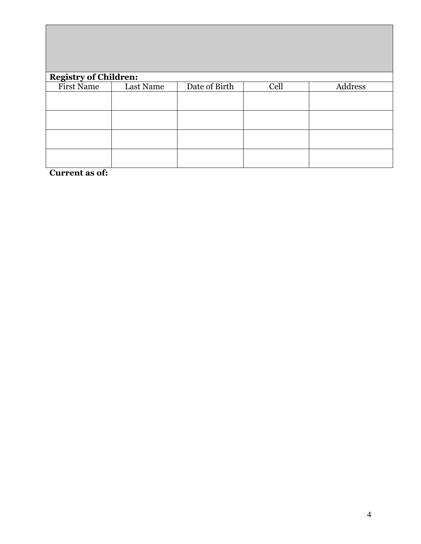| <b>Registry of Children:</b> |           |               |      |         |  |  |  |  |
|------------------------------|-----------|---------------|------|---------|--|--|--|--|
| First Name                   | Last Name | Date of Birth | Cell | Address |  |  |  |  |
|                              |           |               |      |         |  |  |  |  |
|                              |           |               |      |         |  |  |  |  |
|                              |           |               |      |         |  |  |  |  |
|                              |           |               |      |         |  |  |  |  |
|                              |           |               |      |         |  |  |  |  |
|                              |           |               |      |         |  |  |  |  |
|                              |           |               |      |         |  |  |  |  |
|                              |           |               |      |         |  |  |  |  |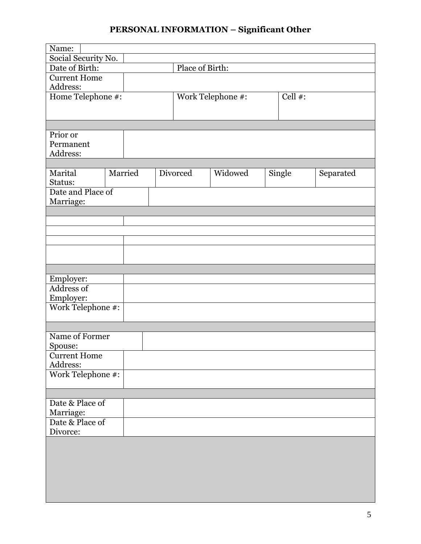# **PERSONAL INFORMATION – Significant Other**

| Name:               |         |  |                 |                   |            |           |
|---------------------|---------|--|-----------------|-------------------|------------|-----------|
| Social Security No. |         |  |                 |                   |            |           |
| Date of Birth:      |         |  | Place of Birth: |                   |            |           |
| <b>Current Home</b> |         |  |                 |                   |            |           |
| Address:            |         |  |                 |                   |            |           |
| Home Telephone #:   |         |  |                 | Work Telephone #: | Cell $#$ : |           |
|                     |         |  |                 |                   |            |           |
|                     |         |  |                 |                   |            |           |
|                     |         |  |                 |                   |            |           |
| Prior or            |         |  |                 |                   |            |           |
| Permanent           |         |  |                 |                   |            |           |
| Address:            |         |  |                 |                   |            |           |
|                     |         |  |                 |                   |            |           |
| Marital             | Married |  | Divorced        | Widowed           | Single     | Separated |
| Status:             |         |  |                 |                   |            |           |
| Date and Place of   |         |  |                 |                   |            |           |
| Marriage:           |         |  |                 |                   |            |           |
|                     |         |  |                 |                   |            |           |
|                     |         |  |                 |                   |            |           |
|                     |         |  |                 |                   |            |           |
|                     |         |  |                 |                   |            |           |
|                     |         |  |                 |                   |            |           |
|                     |         |  |                 |                   |            |           |
|                     |         |  |                 |                   |            |           |
|                     |         |  |                 |                   |            |           |
| Employer:           |         |  |                 |                   |            |           |
| <b>Address of</b>   |         |  |                 |                   |            |           |
| Employer:           |         |  |                 |                   |            |           |
| Work Telephone #:   |         |  |                 |                   |            |           |
|                     |         |  |                 |                   |            |           |
|                     |         |  |                 |                   |            |           |
| Name of Former      |         |  |                 |                   |            |           |
| Spouse:             |         |  |                 |                   |            |           |
| <b>Current Home</b> |         |  |                 |                   |            |           |
| Address:            |         |  |                 |                   |            |           |
| Work Telephone #:   |         |  |                 |                   |            |           |
|                     |         |  |                 |                   |            |           |
|                     |         |  |                 |                   |            |           |
| Date & Place of     |         |  |                 |                   |            |           |
| Marriage:           |         |  |                 |                   |            |           |
| Date & Place of     |         |  |                 |                   |            |           |
| Divorce:            |         |  |                 |                   |            |           |
|                     |         |  |                 |                   |            |           |
|                     |         |  |                 |                   |            |           |
|                     |         |  |                 |                   |            |           |
|                     |         |  |                 |                   |            |           |
|                     |         |  |                 |                   |            |           |
|                     |         |  |                 |                   |            |           |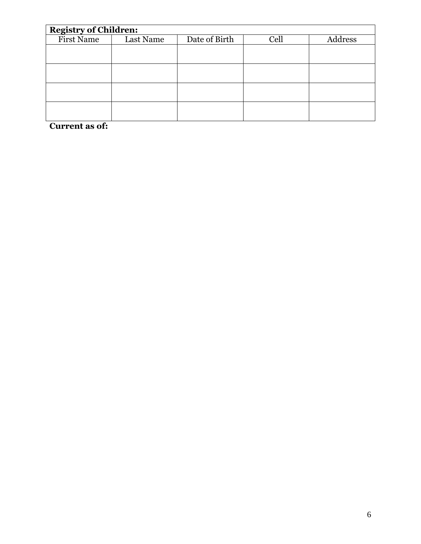| <b>Registry of Children:</b> |           |                       |  |  |  |  |  |  |
|------------------------------|-----------|-----------------------|--|--|--|--|--|--|
| First Name                   | Last Name | Date of Birth<br>Cell |  |  |  |  |  |  |
|                              |           |                       |  |  |  |  |  |  |
|                              |           |                       |  |  |  |  |  |  |
|                              |           |                       |  |  |  |  |  |  |
|                              |           |                       |  |  |  |  |  |  |
|                              |           |                       |  |  |  |  |  |  |
|                              |           |                       |  |  |  |  |  |  |
|                              |           |                       |  |  |  |  |  |  |
|                              |           |                       |  |  |  |  |  |  |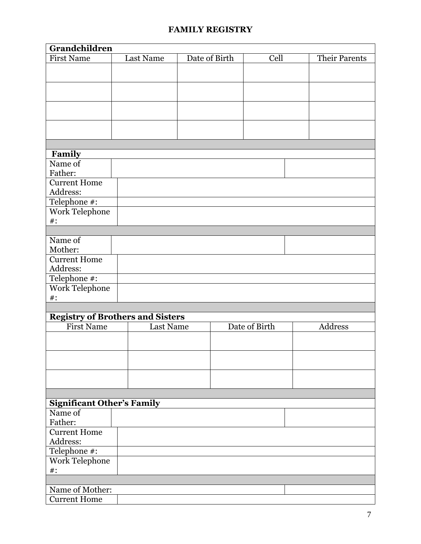#### **FAMILY REGISTRY**

| Grandchildren                           |                  |               |               |               |         |
|-----------------------------------------|------------------|---------------|---------------|---------------|---------|
| <b>First Name</b>                       | Last Name        | Date of Birth | Cell          | Their Parents |         |
|                                         |                  |               |               |               |         |
|                                         |                  |               |               |               |         |
|                                         |                  |               |               |               |         |
|                                         |                  |               |               |               |         |
|                                         |                  |               |               |               |         |
|                                         |                  |               |               |               |         |
|                                         |                  |               |               |               |         |
|                                         |                  |               |               |               |         |
|                                         |                  |               |               |               |         |
| Family                                  |                  |               |               |               |         |
| Name of                                 |                  |               |               |               |         |
| Father:                                 |                  |               |               |               |         |
| <b>Current Home</b>                     |                  |               |               |               |         |
| Address:                                |                  |               |               |               |         |
| Telephone #:                            |                  |               |               |               |         |
| Work Telephone                          |                  |               |               |               |         |
| $\#$ :                                  |                  |               |               |               |         |
|                                         |                  |               |               |               |         |
| Name of                                 |                  |               |               |               |         |
| Mother:                                 |                  |               |               |               |         |
| <b>Current Home</b>                     |                  |               |               |               |         |
| Address:                                |                  |               |               |               |         |
| Telephone #:                            |                  |               |               |               |         |
| Work Telephone                          |                  |               |               |               |         |
| $\#$ :                                  |                  |               |               |               |         |
|                                         |                  |               |               |               |         |
| <b>Registry of Brothers and Sisters</b> |                  |               |               |               |         |
| <b>First Name</b>                       | <b>Last Name</b> |               | Date of Birth |               | Address |
|                                         |                  |               |               |               |         |
|                                         |                  |               |               |               |         |
|                                         |                  |               |               |               |         |
|                                         |                  |               |               |               |         |
|                                         |                  |               |               |               |         |
|                                         |                  |               |               |               |         |
|                                         |                  |               |               |               |         |
| <b>Significant Other's Family</b>       |                  |               |               |               |         |
| Name of                                 |                  |               |               |               |         |
| Father:                                 |                  |               |               |               |         |
| <b>Current Home</b>                     |                  |               |               |               |         |
| Address:                                |                  |               |               |               |         |
| Telephone #:                            |                  |               |               |               |         |
| Work Telephone                          |                  |               |               |               |         |
| $\#$ :                                  |                  |               |               |               |         |
|                                         |                  |               |               |               |         |
| Name of Mother:                         |                  |               |               |               |         |
| <b>Current Home</b>                     |                  |               |               |               |         |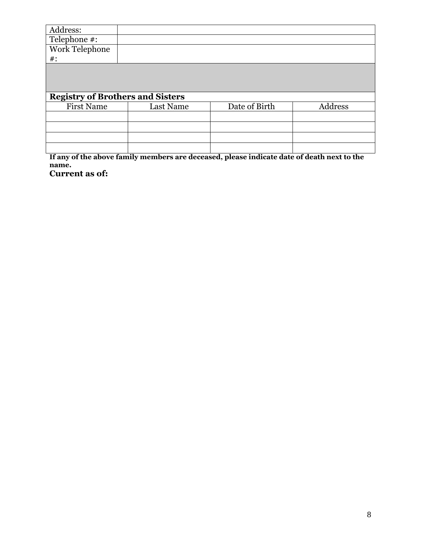| Address:                                |           |               |         |
|-----------------------------------------|-----------|---------------|---------|
| Telephone $\overline{m}$ :              |           |               |         |
| Work Telephone                          |           |               |         |
| $\#$ :                                  |           |               |         |
|                                         |           |               |         |
|                                         |           |               |         |
|                                         |           |               |         |
|                                         |           |               |         |
| <b>Registry of Brothers and Sisters</b> |           |               |         |
| <b>First Name</b>                       | Last Name | Date of Birth | Address |
|                                         |           |               |         |
|                                         |           |               |         |
|                                         |           |               |         |

**If any of the above family members are deceased, please indicate date of death next to the name.**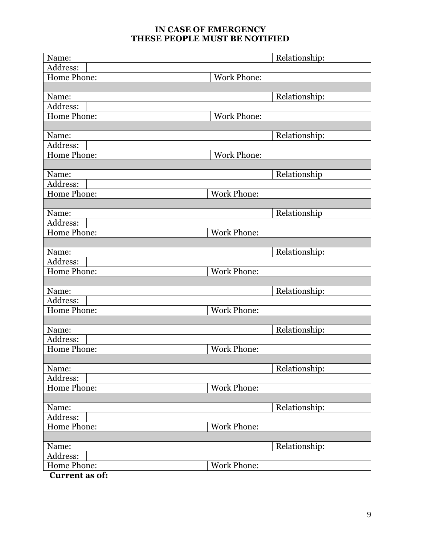#### **IN CASE OF EMERGENCY THESE PEOPLE MUST BE NOTIFIED**

| Name:              | Relationship:      |
|--------------------|--------------------|
| Address:           |                    |
| <b>Home Phone:</b> | <b>Work Phone:</b> |
|                    |                    |
| Name:              | Relationship:      |
| Address:           |                    |
| Home Phone:        | <b>Work Phone:</b> |
|                    |                    |
| Name:              | Relationship:      |
| Address:           |                    |
| Home Phone:        | <b>Work Phone:</b> |
|                    |                    |
| Name:              | Relationship       |
| Address:           |                    |
| Home Phone:        | <b>Work Phone:</b> |
|                    |                    |
| Name:              | Relationship       |
| Address:           |                    |
| Home Phone:        | <b>Work Phone:</b> |
|                    |                    |
| Name:              | Relationship:      |
| Address:           |                    |
| <b>Home Phone:</b> | <b>Work Phone:</b> |
|                    |                    |
| Name:              | Relationship:      |
| Address:           |                    |
| Home Phone:        | <b>Work Phone:</b> |
|                    |                    |
| Name:              | Relationship:      |
| Address:           |                    |
| <b>Home Phone:</b> | <b>Work Phone:</b> |
|                    |                    |
| Name:              | Relationship:      |
| Address:           |                    |
| Home Phone:        | <b>Work Phone:</b> |
|                    |                    |
| Name:              | Relationship:      |
| Address:           |                    |
| Home Phone:        | <b>Work Phone:</b> |
|                    |                    |
| Name:              | Relationship:      |
| Address:           |                    |
| Home Phone:<br>£.  | <b>Work Phone:</b> |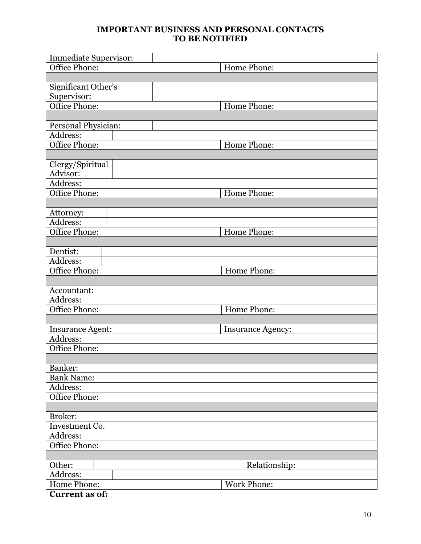#### **IMPORTANT BUSINESS AND PERSONAL CONTACTS TO BE NOTIFIED**

| <b>Immediate Supervisor:</b> |                          |
|------------------------------|--------------------------|
| Office Phone:                | Home Phone:              |
|                              |                          |
| Significant Other's          |                          |
| Supervisor:                  |                          |
| Office Phone:                | Home Phone:              |
|                              |                          |
| Personal Physician:          |                          |
| Address:                     |                          |
| Office Phone:                | Home Phone:              |
|                              |                          |
| Clergy/Spiritual             |                          |
| Advisor:                     |                          |
| Address:                     |                          |
| Office Phone:                | Home Phone:              |
|                              |                          |
| Attorney:                    |                          |
| Address:                     |                          |
| Office Phone:                | Home Phone:              |
|                              |                          |
| Dentist:                     |                          |
| Address:                     |                          |
| Office Phone:                | Home Phone:              |
|                              |                          |
| Accountant:                  |                          |
| Address:                     |                          |
| Office Phone:                | Home Phone:              |
|                              |                          |
| <b>Insurance Agent:</b>      | <b>Insurance Agency:</b> |
| Address:                     |                          |
| <b>Office Phone:</b>         |                          |
|                              |                          |
| Banker:                      |                          |
| <b>Bank Name:</b>            |                          |
| Address:                     |                          |
| Office Phone:                |                          |
|                              |                          |
| Broker:                      |                          |
| Investment Co.               |                          |
| Address:                     |                          |
| Office Phone:                |                          |
|                              |                          |
| Other:                       | Relationship:            |
| Address:                     |                          |
| Home Phone:                  | <b>Work Phone:</b>       |
| <b>Current as of:</b>        |                          |
|                              |                          |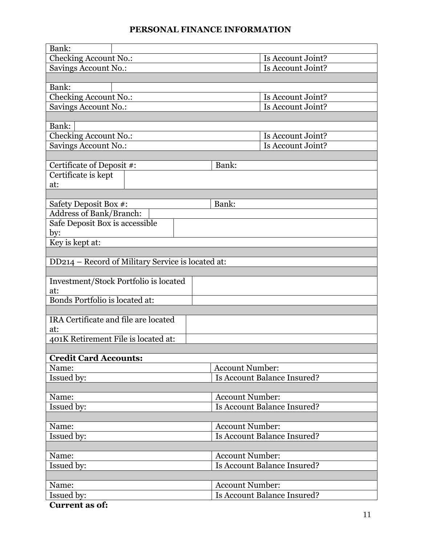#### **PERSONAL FINANCE INFORMATION**

| Bank:                                             |                             |  |  |  |
|---------------------------------------------------|-----------------------------|--|--|--|
| Checking Account No.:                             | Is Account Joint?           |  |  |  |
| Savings Account No.:                              | Is Account Joint?           |  |  |  |
|                                                   |                             |  |  |  |
| Bank:                                             |                             |  |  |  |
| <b>Checking Account No.:</b>                      | Is Account Joint?           |  |  |  |
| Savings Account No.:                              | Is Account Joint?           |  |  |  |
|                                                   |                             |  |  |  |
| Bank:                                             | Is Account Joint?           |  |  |  |
| Checking Account No.:                             | Is Account Joint?           |  |  |  |
| Savings Account No.:                              |                             |  |  |  |
| Certificate of Deposit #:                         | Bank:                       |  |  |  |
| Certificate is kept                               |                             |  |  |  |
| at:                                               |                             |  |  |  |
|                                                   |                             |  |  |  |
| Safety Deposit Box #:                             | Bank:                       |  |  |  |
| Address of Bank/Branch:                           |                             |  |  |  |
| Safe Deposit Box is accessible                    |                             |  |  |  |
| by:                                               |                             |  |  |  |
| Key is kept at:                                   |                             |  |  |  |
|                                                   |                             |  |  |  |
| DD214 – Record of Military Service is located at: |                             |  |  |  |
|                                                   |                             |  |  |  |
| Investment/Stock Portfolio is located             |                             |  |  |  |
| at:                                               |                             |  |  |  |
| Bonds Portfolio is located at:                    |                             |  |  |  |
|                                                   |                             |  |  |  |
| IRA Certificate and file are located              |                             |  |  |  |
| at:<br>401K Retirement File is located at:        |                             |  |  |  |
|                                                   |                             |  |  |  |
| <b>Credit Card Accounts:</b>                      |                             |  |  |  |
| Name:                                             | <b>Account Number:</b>      |  |  |  |
| Issued by:                                        | Is Account Balance Insured? |  |  |  |
|                                                   |                             |  |  |  |
| Name:                                             | <b>Account Number:</b>      |  |  |  |
| Issued by:                                        | Is Account Balance Insured? |  |  |  |
|                                                   |                             |  |  |  |
| Name:                                             | <b>Account Number:</b>      |  |  |  |
| Issued by:                                        | Is Account Balance Insured? |  |  |  |
|                                                   |                             |  |  |  |
| Name:                                             | <b>Account Number:</b>      |  |  |  |
| Issued by:                                        | Is Account Balance Insured? |  |  |  |
|                                                   |                             |  |  |  |
| Name:                                             | <b>Account Number:</b>      |  |  |  |
| Issued by:                                        | Is Account Balance Insured? |  |  |  |
| <b>Current as of:</b>                             |                             |  |  |  |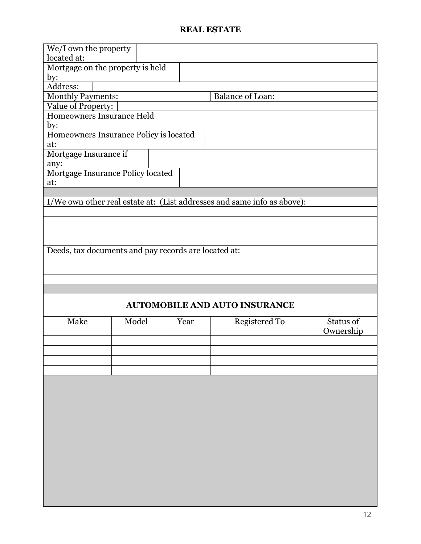#### **REAL ESTATE**

| We/I own the property<br>located at:                 |       |      |                                                                         |           |
|------------------------------------------------------|-------|------|-------------------------------------------------------------------------|-----------|
| Mortgage on the property is held                     |       |      |                                                                         |           |
|                                                      |       |      |                                                                         |           |
| by:<br>Address:                                      |       |      |                                                                         |           |
|                                                      |       |      | <b>Balance of Loan:</b>                                                 |           |
| <b>Monthly Payments:</b>                             |       |      |                                                                         |           |
| Value of Property:<br>Homeowners Insurance Held      |       |      |                                                                         |           |
|                                                      |       |      |                                                                         |           |
| by:                                                  |       |      |                                                                         |           |
| Homeowners Insurance Policy is located               |       |      |                                                                         |           |
| at:                                                  |       |      |                                                                         |           |
| Mortgage Insurance if                                |       |      |                                                                         |           |
| any:<br>Mortgage Insurance Policy located            |       |      |                                                                         |           |
| at:                                                  |       |      |                                                                         |           |
|                                                      |       |      |                                                                         |           |
|                                                      |       |      | I/We own other real estate at: (List addresses and same info as above): |           |
|                                                      |       |      |                                                                         |           |
|                                                      |       |      |                                                                         |           |
|                                                      |       |      |                                                                         |           |
|                                                      |       |      |                                                                         |           |
|                                                      |       |      |                                                                         |           |
| Deeds, tax documents and pay records are located at: |       |      |                                                                         |           |
|                                                      |       |      |                                                                         |           |
|                                                      |       |      |                                                                         |           |
|                                                      |       |      |                                                                         |           |
|                                                      |       |      |                                                                         |           |
|                                                      |       |      | <b>AUTOMOBILE AND AUTO INSURANCE</b>                                    |           |
| Make                                                 | Model | Year | <b>Registered To</b>                                                    | Status of |

| Make | Model | Year | Registered To | Status of<br>Ownership |
|------|-------|------|---------------|------------------------|
|      |       |      |               |                        |
|      |       |      |               |                        |
|      |       |      |               |                        |
|      |       |      |               |                        |
|      |       |      |               |                        |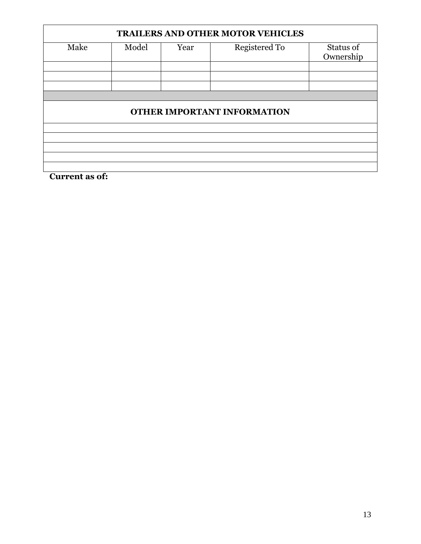# **TRAILERS AND OTHER MOTOR VEHICLES** Make Model Year Registered To Status of **Ownership OTHER IMPORTANT INFORMATION**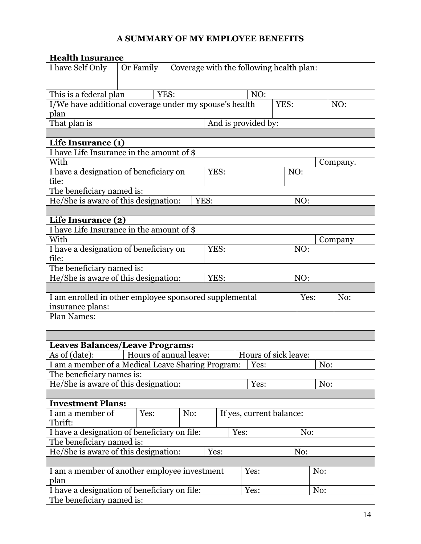#### **A SUMMARY OF MY EMPLOYEE BENEFITS**

| <b>Health Insurance</b>                                |                                     |                                          |      |      |                          |      |      |         |          |  |
|--------------------------------------------------------|-------------------------------------|------------------------------------------|------|------|--------------------------|------|------|---------|----------|--|
| I have Self Only                                       | Or Family                           | Coverage with the following health plan: |      |      |                          |      |      |         |          |  |
|                                                        |                                     |                                          |      |      |                          |      |      |         |          |  |
|                                                        |                                     |                                          |      |      |                          |      |      |         |          |  |
| This is a federal plan                                 |                                     | YES:                                     |      |      | NO:                      |      |      |         |          |  |
| I/We have additional coverage under my spouse's health |                                     |                                          |      |      |                          | YES: |      |         | NO:      |  |
| plan                                                   |                                     |                                          |      |      |                          |      |      |         |          |  |
|                                                        | That plan is<br>And is provided by: |                                          |      |      |                          |      |      |         |          |  |
|                                                        |                                     |                                          |      |      |                          |      |      |         |          |  |
| Life Insurance (1)                                     |                                     |                                          |      |      |                          |      |      |         |          |  |
| I have Life Insurance in the amount of \$              |                                     |                                          |      |      |                          |      |      |         |          |  |
| With                                                   |                                     |                                          |      |      |                          |      |      |         | Company. |  |
| I have a designation of beneficiary on                 |                                     |                                          |      | YES: |                          |      | NO:  |         |          |  |
| file:                                                  |                                     |                                          |      |      |                          |      |      |         |          |  |
| The beneficiary named is:                              |                                     |                                          |      |      |                          |      |      |         |          |  |
| He/She is aware of this designation:                   |                                     |                                          | YES: |      |                          |      | NO:  |         |          |  |
|                                                        |                                     |                                          |      |      |                          |      |      |         |          |  |
| Life Insurance (2)                                     |                                     |                                          |      |      |                          |      |      |         |          |  |
| I have Life Insurance in the amount of \$              |                                     |                                          |      |      |                          |      |      |         |          |  |
| With                                                   |                                     |                                          |      |      |                          |      |      | Company |          |  |
| I have a designation of beneficiary on                 |                                     |                                          |      | YES: |                          |      |      | NO:     |          |  |
| file:                                                  |                                     |                                          |      |      |                          |      |      |         |          |  |
| The beneficiary named is:                              |                                     |                                          |      |      |                          |      |      |         |          |  |
| He/She is aware of this designation:                   |                                     |                                          |      | YES: |                          |      | NO:  |         |          |  |
|                                                        |                                     |                                          |      |      |                          |      |      |         |          |  |
| I am enrolled in other employee sponsored supplemental |                                     |                                          |      |      |                          |      | Yes: |         | No:      |  |
| insurance plans:                                       |                                     |                                          |      |      |                          |      |      |         |          |  |
| <b>Plan Names:</b>                                     |                                     |                                          |      |      |                          |      |      |         |          |  |
|                                                        |                                     |                                          |      |      |                          |      |      |         |          |  |
|                                                        |                                     |                                          |      |      |                          |      |      |         |          |  |
| Leaves Balances/Leave Programs:                        |                                     |                                          |      |      |                          |      |      |         |          |  |
| As of (date):                                          | Hours of annual leave:              |                                          |      |      | Hours of sick leave:     |      |      |         |          |  |
| I am a member of a Medical Leave Sharing Program:      |                                     |                                          |      |      | Yes:                     |      |      | No:     |          |  |
| The beneficiary names is:                              |                                     |                                          |      |      |                          |      |      |         |          |  |
| He/She is aware of this designation:                   |                                     |                                          |      |      | Yes:                     |      |      | No:     |          |  |
|                                                        |                                     |                                          |      |      |                          |      |      |         |          |  |
| <b>Investment Plans:</b>                               |                                     |                                          |      |      |                          |      |      |         |          |  |
| I am a member of                                       | Yes:                                | No:                                      |      |      | If yes, current balance: |      |      |         |          |  |
| Thrift:                                                |                                     |                                          |      |      |                          |      |      |         |          |  |
| I have a designation of beneficiary on file:           |                                     |                                          |      | Yes: |                          |      | No:  |         |          |  |
| The beneficiary named is:                              |                                     |                                          |      |      |                          |      |      |         |          |  |
| He/She is aware of this designation:                   |                                     |                                          | Yes: |      |                          |      | No:  |         |          |  |
|                                                        |                                     |                                          |      |      |                          |      |      |         |          |  |
| I am a member of another employee investment           |                                     |                                          |      |      | Yes:                     |      |      | No:     |          |  |
| plan                                                   |                                     |                                          |      |      |                          |      |      |         |          |  |
| I have a designation of beneficiary on file:           |                                     |                                          |      |      | Yes:                     |      |      | No:     |          |  |
| The beneficiary named is:                              |                                     |                                          |      |      |                          |      |      |         |          |  |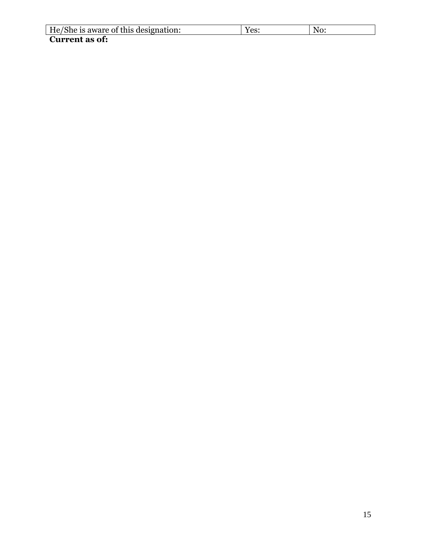| He/She is aware of this designation: | $^{\prime}$ $\alpha$ $\cdot$<br>CD. | N0. |
|--------------------------------------|-------------------------------------|-----|
| <b>Current as of:</b>                |                                     |     |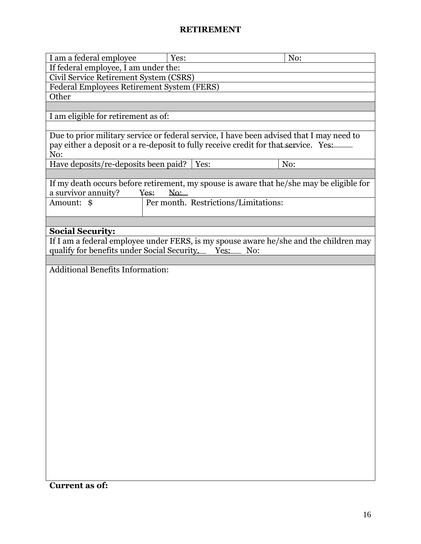#### **RETIREMENT**

| I am a federal employee                          | Yes:        |                                      | No:                                                                                      |
|--------------------------------------------------|-------------|--------------------------------------|------------------------------------------------------------------------------------------|
| If federal employee, I am under the:             |             |                                      |                                                                                          |
| Civil Service Retirement System (CSRS)           |             |                                      |                                                                                          |
| Federal Employees Retirement System (FERS)       |             |                                      |                                                                                          |
| Other                                            |             |                                      |                                                                                          |
|                                                  |             |                                      |                                                                                          |
| I am eligible for retirement as of:              |             |                                      |                                                                                          |
|                                                  |             |                                      |                                                                                          |
|                                                  |             |                                      | Due to prior military service or federal service, I have been advised that I may need to |
|                                                  |             |                                      | pay either a deposit or a re-deposit to fully receive credit for that service. Yes:      |
| No:                                              |             |                                      |                                                                                          |
| Have deposits/re-deposits been paid?             |             | Yes:                                 | No:                                                                                      |
|                                                  |             |                                      |                                                                                          |
|                                                  |             |                                      |                                                                                          |
|                                                  |             |                                      | If my death occurs before retirement, my spouse is aware that he/she may be eligible for |
| a survivor annuity?                              | Yes:<br>No: |                                      |                                                                                          |
| Amount: \$                                       |             | Per month. Restrictions/Limitations: |                                                                                          |
|                                                  |             |                                      |                                                                                          |
|                                                  |             |                                      |                                                                                          |
| <b>Social Security:</b>                          |             |                                      |                                                                                          |
|                                                  |             |                                      | If I am a federal employee under FERS, is my spouse aware he/she and the children may    |
| qualify for benefits under Social Security. Yes: |             |                                      | No:                                                                                      |
|                                                  |             |                                      |                                                                                          |
| <b>Additional Benefits Information:</b>          |             |                                      |                                                                                          |
|                                                  |             |                                      |                                                                                          |
|                                                  |             |                                      |                                                                                          |
|                                                  |             |                                      |                                                                                          |
|                                                  |             |                                      |                                                                                          |
|                                                  |             |                                      |                                                                                          |
|                                                  |             |                                      |                                                                                          |
|                                                  |             |                                      |                                                                                          |
|                                                  |             |                                      |                                                                                          |
|                                                  |             |                                      |                                                                                          |
|                                                  |             |                                      |                                                                                          |
|                                                  |             |                                      |                                                                                          |
|                                                  |             |                                      |                                                                                          |
|                                                  |             |                                      |                                                                                          |
|                                                  |             |                                      |                                                                                          |
|                                                  |             |                                      |                                                                                          |
|                                                  |             |                                      |                                                                                          |
|                                                  |             |                                      |                                                                                          |
|                                                  |             |                                      |                                                                                          |
|                                                  |             |                                      |                                                                                          |
|                                                  |             |                                      |                                                                                          |
|                                                  |             |                                      |                                                                                          |
|                                                  |             |                                      |                                                                                          |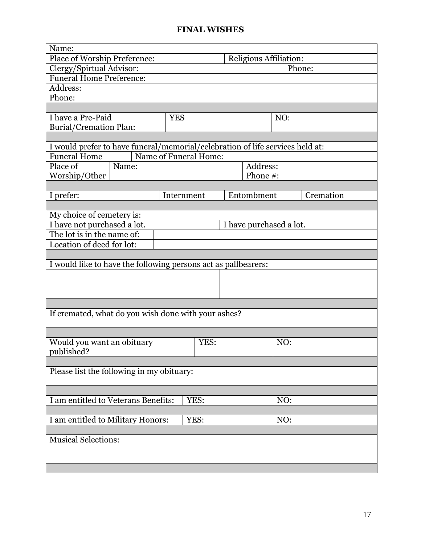#### **FINAL WISHES**

| Name:                                                                         |                               |                         |  |
|-------------------------------------------------------------------------------|-------------------------------|-------------------------|--|
| Place of Worship Preference:                                                  | <b>Religious Affiliation:</b> |                         |  |
| Clergy/Spirtual Advisor:<br>Phone:                                            |                               |                         |  |
| <b>Funeral Home Preference:</b>                                               |                               |                         |  |
| Address:                                                                      |                               |                         |  |
| Phone:                                                                        |                               |                         |  |
|                                                                               |                               |                         |  |
| I have a Pre-Paid                                                             | <b>YES</b>                    | NO:                     |  |
| <b>Burial/Cremation Plan:</b>                                                 |                               |                         |  |
| I would prefer to have funeral/memorial/celebration of life services held at: |                               |                         |  |
| <b>Funeral Home</b>                                                           | Name of Funeral Home:         |                         |  |
| Place of<br>Name:                                                             |                               | Address:                |  |
| Worship/Other                                                                 |                               | Phone #:                |  |
|                                                                               |                               |                         |  |
| I prefer:                                                                     | Internment                    | Entombment<br>Cremation |  |
|                                                                               |                               |                         |  |
| My choice of cemetery is:                                                     |                               |                         |  |
| I have not purchased a lot.                                                   |                               | I have purchased a lot. |  |
| The lot is in the name of:                                                    |                               |                         |  |
| Location of deed for lot:                                                     |                               |                         |  |
|                                                                               |                               |                         |  |
| I would like to have the following persons act as pallbearers:                |                               |                         |  |
|                                                                               |                               |                         |  |
|                                                                               |                               |                         |  |
|                                                                               |                               |                         |  |
|                                                                               |                               |                         |  |
| If cremated, what do you wish done with your ashes?                           |                               |                         |  |
|                                                                               |                               |                         |  |
|                                                                               |                               |                         |  |
| Would you want an obituary                                                    | YES:                          | NO:                     |  |
| published?                                                                    |                               |                         |  |
|                                                                               |                               |                         |  |
| Please list the following in my obituary:                                     |                               |                         |  |
|                                                                               |                               |                         |  |
|                                                                               |                               |                         |  |
| I am entitled to Veterans Benefits:                                           | YES:                          | NO:                     |  |
|                                                                               |                               |                         |  |
| I am entitled to Military Honors:<br>YES:<br>NO:                              |                               |                         |  |
|                                                                               |                               |                         |  |
| <b>Musical Selections:</b>                                                    |                               |                         |  |
|                                                                               |                               |                         |  |
|                                                                               |                               |                         |  |
|                                                                               |                               |                         |  |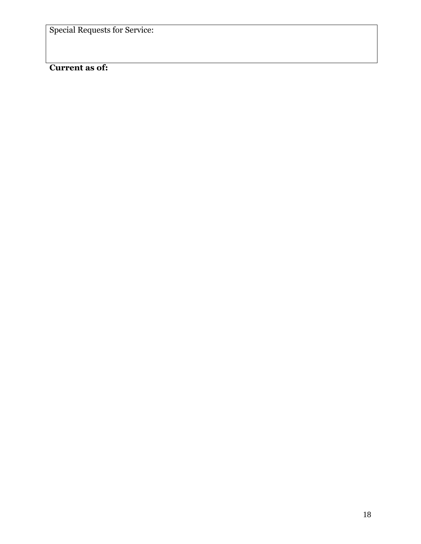Special Requests for Service: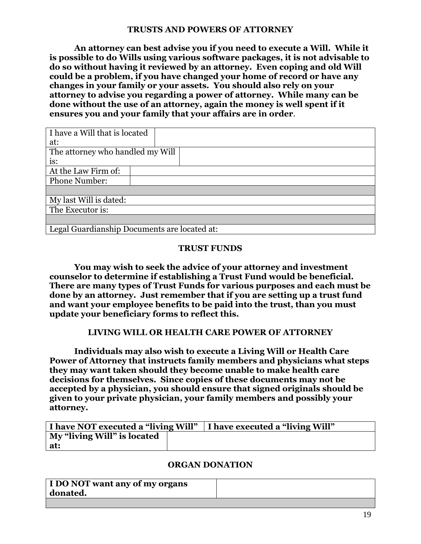#### **TRUSTS AND POWERS OF ATTORNEY**

**An attorney can best advise you if you need to execute a Will. While it is possible to do Wills using various software packages, it is not advisable to do so without having it reviewed by an attorney. Even coping and old Will could be a problem, if you have changed your home of record or have any changes in your family or your assets. You should also rely on your attorney to advise you regarding a power of attorney. While many can be done without the use of an attorney, again the money is well spent if it ensures you and your family that your affairs are in order**.

| I have a Will that is located                |
|----------------------------------------------|
| at:                                          |
| The attorney who handled my Will             |
| is:                                          |
| At the Law Firm of:                          |
| <b>Phone Number:</b>                         |
|                                              |
| My last Will is dated:                       |
| The Executor is:                             |
|                                              |
| Legal Guardianship Documents are located at: |

#### **TRUST FUNDS**

**You may wish to seek the advice of your attorney and investment counselor to determine if establishing a Trust Fund would be beneficial. There are many types of Trust Funds for various purposes and each must be done by an attorney. Just remember that if you are setting up a trust fund and want your employee benefits to be paid into the trust, than you must update your beneficiary forms to reflect this.**

#### **LIVING WILL OR HEALTH CARE POWER OF ATTORNEY**

**Individuals may also wish to execute a Living Will or Health Care Power of Attorney that instructs family members and physicians what steps they may want taken should they become unable to make health care decisions for themselves. Since copies of these documents may not be accepted by a physician, you should ensure that signed originals should be given to your private physician, your family members and possibly your attorney.**

|                             | I have NOT executed a "living Will"   I have executed a "living Will" |
|-----------------------------|-----------------------------------------------------------------------|
| My "living Will" is located |                                                                       |
| at:                         |                                                                       |

#### **ORGAN DONATION**

| I DO NOT want any of my organs |  |
|--------------------------------|--|
| donated.                       |  |
|                                |  |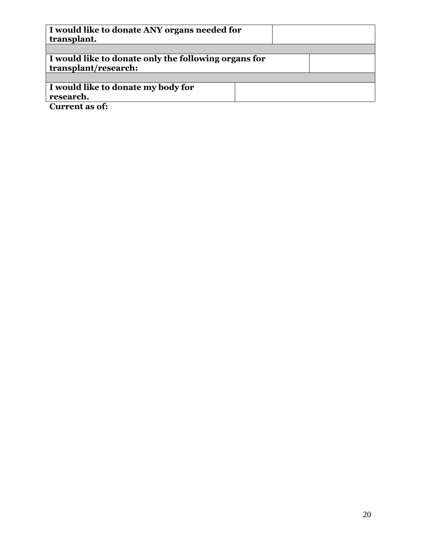| I would like to donate ANY organs needed for<br>transplant.                  |  |
|------------------------------------------------------------------------------|--|
|                                                                              |  |
| I would like to donate only the following organs for<br>transplant/research: |  |
|                                                                              |  |
| I would like to donate my body for                                           |  |
| research.                                                                    |  |
| <b>Current as of:</b>                                                        |  |